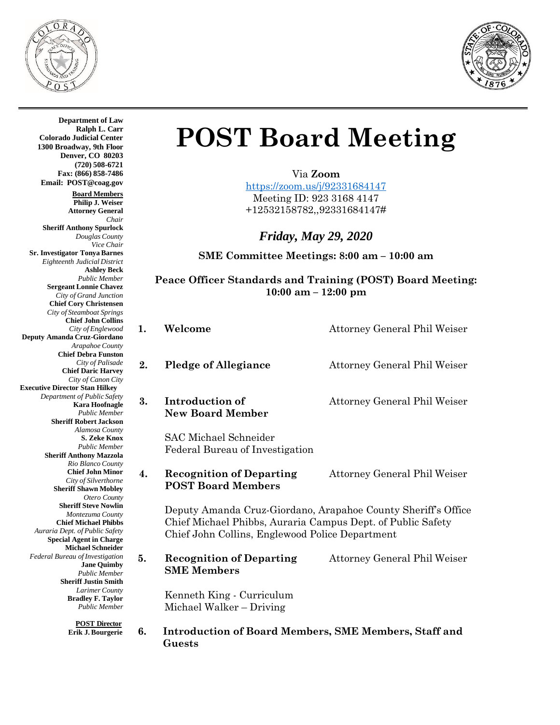



**Department of Law Ralph L. Carr Colorado Judicial Center 1300 Broadway, 9th Floor Denver, CO 80203 (720) 508-6721 Fax: (866) 858-7486 Email: [POST@coag.gov](mailto:POST@coag.gov) Board Members Philip J. Weiser Attorney General** *Chair* **Sheriff Anthony Spurlock** *Douglas County Vice Chair* **Sr. Investigator Tonya Barnes** *Eighteenth Judicial District* **Ashley Beck** *Public Member*  **Sergeant Lonnie Chavez**  *City of Grand Junction*  **Chief Cory Christensen**  *City of Steamboat Springs*  **Chief John Collins** *City of Englewood* **Deputy Amanda Cruz-Giordano** *Arapahoe County*  **Chief Debra Funston** *City of Palisade*  **Chief Daric Harvey**  *City of Canon City* **Executive Director Stan Hilkey** *Department of Public Safety* **Kara Hoofnagle** *Public Member* **Sheriff Robert Jackson** *Alamosa County* **S. Zeke Knox** *Public Member*  **Sheriff Anthony Mazzola**  *Rio Blanco County* **Chief John Minor**  *City of Silverthorne*  **Sheriff Shawn Mobley** *Otero County* **Sheriff Steve Nowlin**  *Montezuma County*  **Chief Michael Phibbs** *Auraria Dept. of Public Safety*  **Special Agent in Charge Michael Schneider** *Federal Bureau ofInvestigation* **Jane Quimby**  *Public Member*  **Sheriff Justin Smith**  *Larimer County*  **Bradley F. Taylor**  *Public Member*

**POST Director Erik J. Bourgerie**

**Guests**

## **POST Board Meeting**

Via **Zoom** 

<https://zoom.us/j/92331684147> Meeting ID: 923 3168 4147 +12532158782,,92331684147#

*Friday, May 29, 2020*

**SME Committee Meetings: 8:00 am – 10:00 am**

**Peace Officer Standards and Training (POST) Board Meeting: 10:00 am – 12:00 pm**

| 1. | Welcome                                                                                                                                                                         | <b>Attorney General Phil Weiser</b> |  |
|----|---------------------------------------------------------------------------------------------------------------------------------------------------------------------------------|-------------------------------------|--|
| 2. | <b>Pledge of Allegiance</b>                                                                                                                                                     | Attorney General Phil Weiser        |  |
| 3. | Introduction of<br><b>New Board Member</b>                                                                                                                                      | Attorney General Phil Weiser        |  |
|    | <b>SAC Michael Schneider</b><br>Federal Bureau of Investigation                                                                                                                 |                                     |  |
| 4. | <b>Recognition of Departing</b><br><b>POST Board Members</b>                                                                                                                    | Attorney General Phil Weiser        |  |
|    | Deputy Amanda Cruz-Giordano, Arapahoe County Sheriff's Office<br>Chief Michael Phibbs, Auraria Campus Dept. of Public Safety<br>Chief John Collins, Englewood Police Department |                                     |  |
| 5. | <b>Recognition of Departing</b><br><b>SME Members</b>                                                                                                                           | Attorney General Phil Weiser        |  |
|    | Kenneth King - Curriculum<br>Michael Walker – Driving                                                                                                                           |                                     |  |
| 6. | <b>Introduction of Board Members, SME Members, Staff and</b>                                                                                                                    |                                     |  |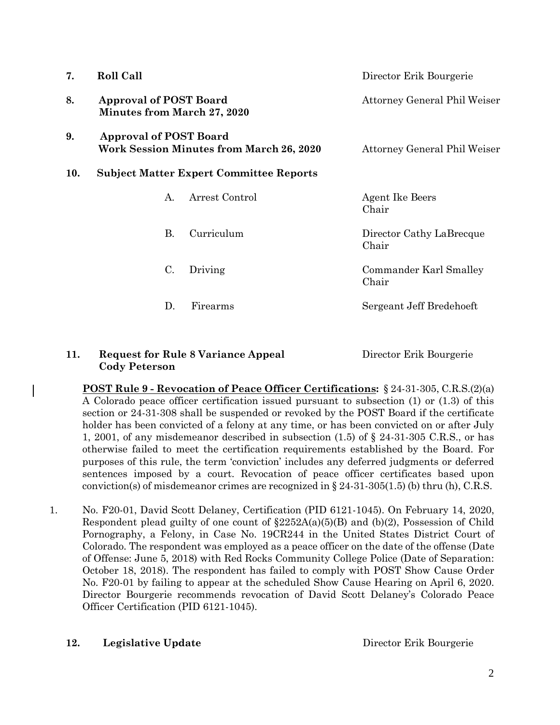| 7.  | Roll Call                                                                        |                | Director Erik Bourgerie           |  |
|-----|----------------------------------------------------------------------------------|----------------|-----------------------------------|--|
| 8.  | <b>Approval of POST Board</b><br><b>Minutes from March 27, 2020</b>              |                | Attorney General Phil Weiser      |  |
| 9.  | <b>Approval of POST Board</b><br><b>Work Session Minutes from March 26, 2020</b> |                | Attorney General Phil Weiser      |  |
| 10. | <b>Subject Matter Expert Committee Reports</b>                                   |                |                                   |  |
|     | A.                                                                               | Arrest Control | <b>Agent Ike Beers</b><br>Chair   |  |
|     | <b>B.</b>                                                                        | Curriculum     | Director Cathy LaBrecque<br>Chair |  |
|     | C.                                                                               | Driving        | Commander Karl Smalley<br>Chair   |  |
|     | D.                                                                               | Firearms       | Sergeant Jeff Bredehoeft          |  |

## **11. Request for Rule 8 Variance Appeal** Director Erik Bourgerie **Cody Peterson**

**POST Rule 9 - Revocation of Peace Officer Certifications:** § 24-31-305, C.R.S.(2)(a) A Colorado peace officer certification issued pursuant to subsection (1) or (1.3) of this section or 24-31-308 shall be suspended or revoked by the POST Board if the certificate holder has been convicted of a felony at any time, or has been convicted on or after July 1, 2001, of any misdemeanor described in subsection (1.5) of § 24-31-305 C.R.S., or has otherwise failed to meet the certification requirements established by the Board. For purposes of this rule, the term 'conviction' includes any deferred judgments or deferred sentences imposed by a court. Revocation of peace officer certificates based upon conviction(s) of misdemeanor crimes are recognized in  $\S 24-31-305(1.5)$  (b) thru (h), C.R.S.

1. No. F20-01, David Scott Delaney, Certification (PID 6121-1045). On February 14, 2020, Respondent plead guilty of one count of  $\S2252A(a)(5)(B)$  and  $(b)(2)$ , Possession of Child Pornography, a Felony, in Case No. 19CR244 in the United States District Court of Colorado. The respondent was employed as a peace officer on the date of the offense (Date of Offense: June 5, 2018) with Red Rocks Community College Police (Date of Separation: October 18, 2018). The respondent has failed to comply with POST Show Cause Order No. F20-01 by failing to appear at the scheduled Show Cause Hearing on April 6, 2020. Director Bourgerie recommends revocation of David Scott Delaney's Colorado Peace Officer Certification (PID 6121-1045).

## **12. Legislative Update Director Erik Bourgerie Director Erik Bourgerie**